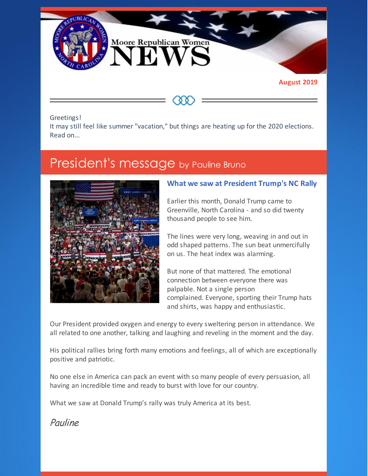

#### Greetings!

It may still feel like summer "vacation," but things are heating up for the 2020 elections. Read on...

## President's message by Pauline Bruno



#### **What we saw at President Trump's NC Rally**

Earlier this month, Donald Trump came to Greenville, North Carolina - and so did twenty thousand people to see him.

The lines were very long, weaving in and out in odd shaped patterns. The sun beat unmercifully on us. The heat index was alarming.

But none of that mattered. The emotional connection between everyone there was palpable. Not a single person complained. Everyone, sporting their Trump hats and shirts, was happy and enthusiastic.

Our President provided oxygen and energy to every sweltering person in attendance. We all related to one another, talking and laughing and reveling in the moment and the day.

His political rallies bring forth many emotions and feelings, all of which are exceptionally positive and patriotic.

No one else in America can pack an event with so many people of every persuasion, all having an incredible time and ready to burst with love for our country.

What we saw at Donald Trump's rally was truly America at its best.

Pauline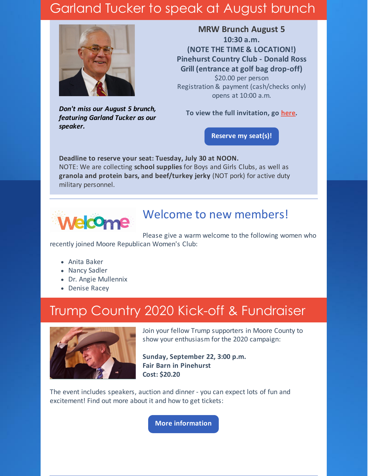# Garland Tucker to speak at August brunch



*Don't miss our August 5 brunch, featuring Garland Tucker as our speaker.*

**MRW Brunch August 5 10:30 a.m. (NOTE THE TIME & LOCATION!) Pinehurst Country Club - Donald Ross Grill (entrance at golf bag drop-off)** \$20.00 per person Registration & payment (cash/checks only) opens at 10:00 a.m.

**To view the full invitation, go [here](https://files.constantcontact.com/30571cb6701/c664d003-dd41-42e3-b2ac-3f6b8a327120.pdf).**

**[Reserve](https://www.mrwnc.com/luncheon-reservation.html) my seat(s)!**

**Deadline to reserve your seat: Tuesday, July 30 at NOON.** NOTE: We are collecting **school supplies** for Boys and Girls Clubs, as well as **granola and protein bars, and beef/turkey jerky** (NOT pork) for active duty military personnel.



### Welcome to new members!

Please give a warm welcome to the following women who recently joined Moore Republican Women's Club:

- Anita Baker
- Nancy Sadler
- Dr. Angie Mullennix
- Denise Racey

# Trump Country 2020 Kick-off & Fundraiser



Join your fellow Trump supporters in Moore County to show your enthusiasm for the 2020 campaign:

**Sunday, September 22, 3:00 p.m. Fair Barn in Pinehurst Cost: \$20.20**

The event includes speakers, auction and dinner - you can expect lots of fun and excitement! Find out more about it and how to get tickets:

**More [information](https://www.mcncgop.com)**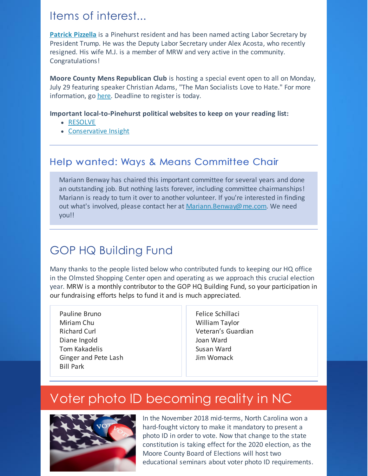### Items of interest...

**[Patrick](https://www.thepilot.com/news/pinehurst-man-named-acting-labor-secretary-by-president-trump/article_d3d45772-a4bc-11e9-8bec-473e7efa7a9d.html) Pizzella** is a Pinehurst resident and has been named acting Labor Secretary by President Trump. He was the Deputy Labor Secretary under Alex Acosta, who recently resigned. His wife M.J. is a member of MRW and very active in the community. Congratulations!

**Moore County Mens Republican Club** is hosting a special event open to all on Monday, July 29 featuring speaker Christian Adams, "The Man Socialists Love to Hate." For more information, go [here](http://www.mcrmc.club). Deadline to register is today.

#### **Important local-to-Pinehurst political websites to keep on your reading list:**

- [RESOLVE](https://resolvenc.blog)
- [Conservative](http://www.conservativeinsight.net) Insight

### Help wanted: Ways & Means Committee Chair

Mariann Benway has chaired this important committee for several years and done an outstanding job. But nothing lasts forever, including committee chairmanships! Mariann is ready to turn it over to another volunteer. If you're interested in finding out what's involved, please contact her at [Mariann.Benway@me.com](mailto:Mariann.Benway@me.com). We need you!!

### GOP HQ Building Fund

Many thanks to the people listed below who contributed funds to keeping our HQ office in the Olmsted Shopping Center open and operating as we approach this crucial election year. MRW is a monthly contributor to the GOP HQ Building Fund, so your participation in our fundraising efforts helps to fund it and is much appreciated.

Pauline Bruno Miriam Chu Richard Curl Diane Ingold Tom Kakadelis Ginger and Pete Lash Bill Park

Felice Schillaci William Taylor Veteran's Guardian Joan Ward Susan Ward Jim Womack

# Voter photo ID becoming reality in NC



In the November 2018 mid-terms, North Carolina won a hard-fought victory to make it mandatory to present a photo ID in order to vote. Now that change to the state constitution is taking effect for the 2020 election, as the Moore County Board of Elections will host two educational seminars about voter photo ID requirements.